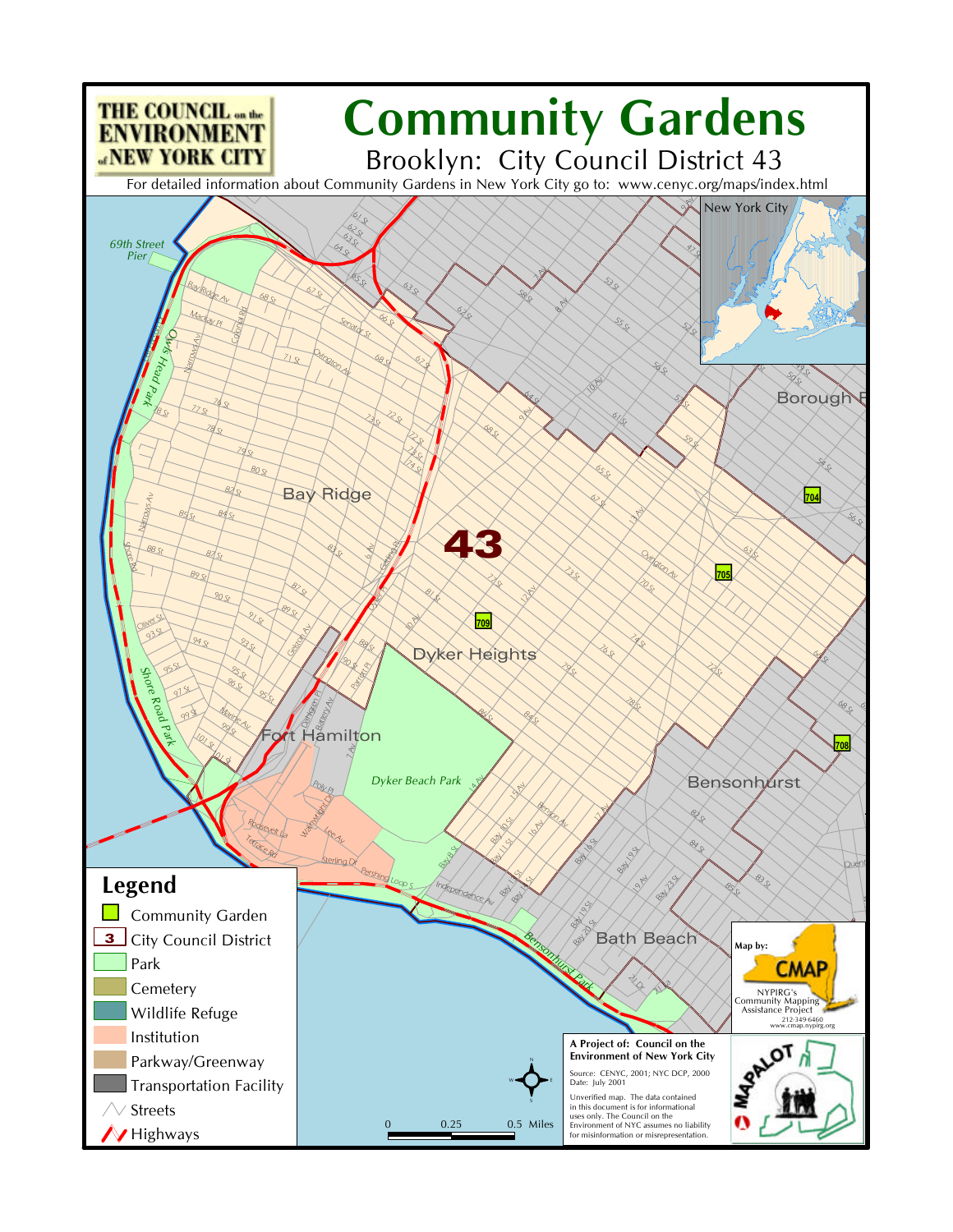